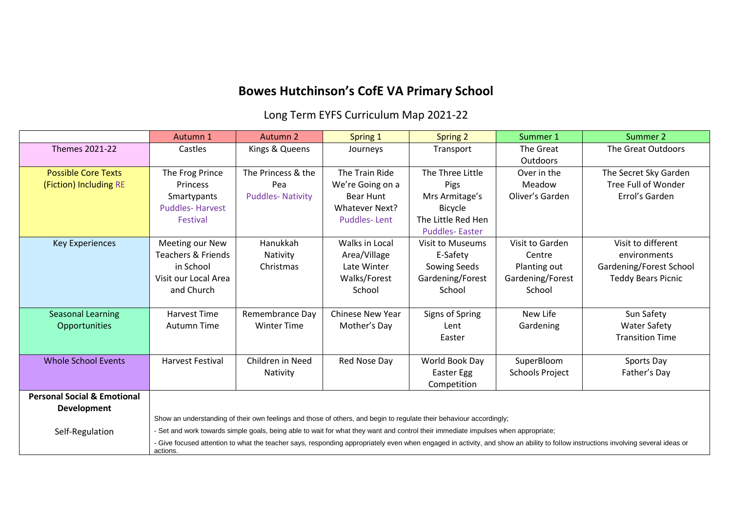## **Bowes Hutchinson's CofE VA Primary School**

Long Term EYFS Curriculum Map 2021-22

|                                        | Autumn 1                      | Autumn 2                | Spring 1                | <b>Spring 2</b>                                                                                                                   | Summer 1               | Summer 2                                                                                                                                                                         |
|----------------------------------------|-------------------------------|-------------------------|-------------------------|-----------------------------------------------------------------------------------------------------------------------------------|------------------------|----------------------------------------------------------------------------------------------------------------------------------------------------------------------------------|
| Themes 2021-22                         | Castles                       | Kings & Queens          | Journeys                | Transport                                                                                                                         | The Great              | The Great Outdoors                                                                                                                                                               |
|                                        |                               |                         |                         |                                                                                                                                   | <b>Outdoors</b>        |                                                                                                                                                                                  |
| <b>Possible Core Texts</b>             | The Frog Prince               | The Princess & the      | The Train Ride          | The Three Little                                                                                                                  | Over in the            | The Secret Sky Garden                                                                                                                                                            |
| (Fiction) Including RE                 | Princess                      | Pea                     | We're Going on a        | Pigs                                                                                                                              | Meadow                 | Tree Full of Wonder                                                                                                                                                              |
|                                        | Smartypants                   | <b>Puddles-Nativity</b> | Bear Hunt               | Mrs Armitage's                                                                                                                    | Oliver's Garden        | Errol's Garden                                                                                                                                                                   |
|                                        | <b>Puddles-Harvest</b>        |                         | <b>Whatever Next?</b>   | Bicycle                                                                                                                           |                        |                                                                                                                                                                                  |
|                                        | Festival                      |                         | <b>Puddles-Lent</b>     | The Little Red Hen                                                                                                                |                        |                                                                                                                                                                                  |
|                                        |                               |                         |                         | <b>Puddles-Easter</b>                                                                                                             |                        |                                                                                                                                                                                  |
| <b>Key Experiences</b>                 | Meeting our New               | Hanukkah                | Walks in Local          | Visit to Museums                                                                                                                  | Visit to Garden        | Visit to different                                                                                                                                                               |
|                                        | <b>Teachers &amp; Friends</b> | Nativity                | Area/Village            | E-Safety                                                                                                                          | Centre                 | environments                                                                                                                                                                     |
|                                        | in School                     | Christmas               | Late Winter             | Sowing Seeds                                                                                                                      | Planting out           | Gardening/Forest School                                                                                                                                                          |
|                                        | Visit our Local Area          |                         | Walks/Forest            | Gardening/Forest                                                                                                                  | Gardening/Forest       | <b>Teddy Bears Picnic</b>                                                                                                                                                        |
|                                        | and Church                    |                         | School                  | School                                                                                                                            | School                 |                                                                                                                                                                                  |
|                                        |                               |                         |                         |                                                                                                                                   |                        |                                                                                                                                                                                  |
| <b>Seasonal Learning</b>               | Harvest Time                  | Remembrance Day         | <b>Chinese New Year</b> | Signs of Spring                                                                                                                   | New Life               | Sun Safety                                                                                                                                                                       |
| Opportunities                          | Autumn Time                   | <b>Winter Time</b>      | Mother's Day            | Lent                                                                                                                              | Gardening              | <b>Water Safety</b>                                                                                                                                                              |
|                                        |                               |                         |                         | Easter                                                                                                                            |                        | <b>Transition Time</b>                                                                                                                                                           |
|                                        |                               |                         |                         |                                                                                                                                   |                        |                                                                                                                                                                                  |
| <b>Whole School Events</b>             | <b>Harvest Festival</b>       | Children in Need        | Red Nose Day            | World Book Day                                                                                                                    | SuperBloom             | Sports Day                                                                                                                                                                       |
|                                        |                               | Nativity                |                         | Easter Egg                                                                                                                        | <b>Schools Project</b> | Father's Day                                                                                                                                                                     |
|                                        |                               |                         |                         | Competition                                                                                                                       |                        |                                                                                                                                                                                  |
| <b>Personal Social &amp; Emotional</b> |                               |                         |                         |                                                                                                                                   |                        |                                                                                                                                                                                  |
| <b>Development</b>                     |                               |                         |                         |                                                                                                                                   |                        |                                                                                                                                                                                  |
|                                        |                               |                         |                         | Show an understanding of their own feelings and those of others, and begin to regulate their behaviour accordingly;               |                        |                                                                                                                                                                                  |
| Self-Regulation                        |                               |                         |                         | - Set and work towards simple goals, being able to wait for what they want and control their immediate impulses when appropriate; |                        |                                                                                                                                                                                  |
|                                        | actions.                      |                         |                         |                                                                                                                                   |                        | - Give focused attention to what the teacher says, responding appropriately even when engaged in activity, and show an ability to follow instructions involving several ideas or |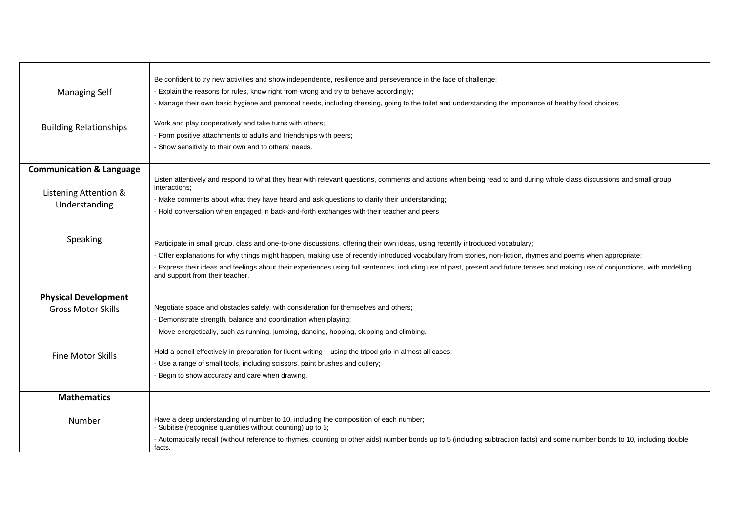|                                     | Be confident to try new activities and show independence, resilience and perseverance in the face of challenge;                                                                                                     |  |  |  |  |
|-------------------------------------|---------------------------------------------------------------------------------------------------------------------------------------------------------------------------------------------------------------------|--|--|--|--|
| <b>Managing Self</b>                | - Explain the reasons for rules, know right from wrong and try to behave accordingly;                                                                                                                               |  |  |  |  |
|                                     | - Manage their own basic hygiene and personal needs, including dressing, going to the toilet and understanding the importance of healthy food choices.                                                              |  |  |  |  |
|                                     |                                                                                                                                                                                                                     |  |  |  |  |
| <b>Building Relationships</b>       | Work and play cooperatively and take turns with others;                                                                                                                                                             |  |  |  |  |
|                                     | - Form positive attachments to adults and friendships with peers;                                                                                                                                                   |  |  |  |  |
|                                     | - Show sensitivity to their own and to others' needs.                                                                                                                                                               |  |  |  |  |
| <b>Communication &amp; Language</b> |                                                                                                                                                                                                                     |  |  |  |  |
|                                     | Listen attentively and respond to what they hear with relevant questions, comments and actions when being read to and during whole class discussions and small group                                                |  |  |  |  |
| Listening Attention &               | interactions;                                                                                                                                                                                                       |  |  |  |  |
| Understanding                       | - Make comments about what they have heard and ask questions to clarify their understanding;                                                                                                                        |  |  |  |  |
|                                     | - Hold conversation when engaged in back-and-forth exchanges with their teacher and peers                                                                                                                           |  |  |  |  |
|                                     |                                                                                                                                                                                                                     |  |  |  |  |
| Speaking                            |                                                                                                                                                                                                                     |  |  |  |  |
|                                     | Participate in small group, class and one-to-one discussions, offering their own ideas, using recently introduced vocabulary;                                                                                       |  |  |  |  |
|                                     | - Offer explanations for why things might happen, making use of recently introduced vocabulary from stories, non-fiction, rhymes and poems when appropriate;                                                        |  |  |  |  |
|                                     | - Express their ideas and feelings about their experiences using full sentences, including use of past, present and future tenses and making use of conjunctions, with modelling<br>and support from their teacher. |  |  |  |  |
|                                     |                                                                                                                                                                                                                     |  |  |  |  |
| <b>Physical Development</b>         |                                                                                                                                                                                                                     |  |  |  |  |
| <b>Gross Motor Skills</b>           | Negotiate space and obstacles safely, with consideration for themselves and others;                                                                                                                                 |  |  |  |  |
|                                     | - Demonstrate strength, balance and coordination when playing;                                                                                                                                                      |  |  |  |  |
|                                     | - Move energetically, such as running, jumping, dancing, hopping, skipping and climbing.                                                                                                                            |  |  |  |  |
|                                     |                                                                                                                                                                                                                     |  |  |  |  |
| <b>Fine Motor Skills</b>            | Hold a pencil effectively in preparation for fluent writing - using the tripod grip in almost all cases;                                                                                                            |  |  |  |  |
|                                     | - Use a range of small tools, including scissors, paint brushes and cutlery;                                                                                                                                        |  |  |  |  |
|                                     | - Begin to show accuracy and care when drawing.                                                                                                                                                                     |  |  |  |  |
| <b>Mathematics</b>                  |                                                                                                                                                                                                                     |  |  |  |  |
|                                     |                                                                                                                                                                                                                     |  |  |  |  |
| Number                              | Have a deep understanding of number to 10, including the composition of each number;                                                                                                                                |  |  |  |  |
|                                     | - Subitise (recognise quantities without counting) up to 5;                                                                                                                                                         |  |  |  |  |
|                                     | - Automatically recall (without reference to rhymes, counting or other aids) number bonds up to 5 (including subtraction facts) and some number bonds to 10, including double                                       |  |  |  |  |
|                                     | facts.                                                                                                                                                                                                              |  |  |  |  |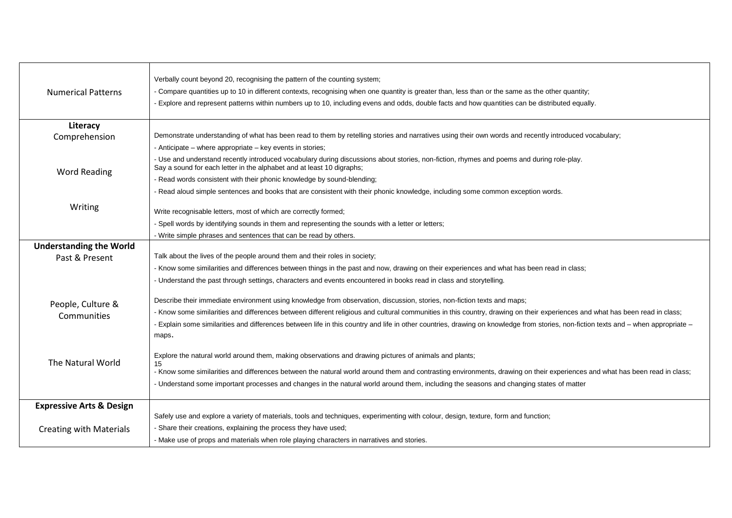| <b>Numerical Patterns</b>           | Verbally count beyond 20, recognising the pattern of the counting system;<br>- Compare quantities up to 10 in different contexts, recognising when one quantity is greater than, less than or the same as the other quantity;<br>- Explore and represent patterns within numbers up to 10, including evens and odds, double facts and how quantities can be distributed equally. |
|-------------------------------------|----------------------------------------------------------------------------------------------------------------------------------------------------------------------------------------------------------------------------------------------------------------------------------------------------------------------------------------------------------------------------------|
| Literacy                            |                                                                                                                                                                                                                                                                                                                                                                                  |
| Comprehension                       | Demonstrate understanding of what has been read to them by retelling stories and narratives using their own words and recently introduced vocabulary;                                                                                                                                                                                                                            |
|                                     | - Anticipate – where appropriate – key events in stories;                                                                                                                                                                                                                                                                                                                        |
| <b>Word Reading</b>                 | - Use and understand recently introduced vocabulary during discussions about stories, non-fiction, rhymes and poems and during role-play.<br>Say a sound for each letter in the alphabet and at least 10 digraphs;                                                                                                                                                               |
|                                     | - Read words consistent with their phonic knowledge by sound-blending;                                                                                                                                                                                                                                                                                                           |
|                                     | - Read aloud simple sentences and books that are consistent with their phonic knowledge, including some common exception words.                                                                                                                                                                                                                                                  |
| Writing                             |                                                                                                                                                                                                                                                                                                                                                                                  |
|                                     | Write recognisable letters, most of which are correctly formed;                                                                                                                                                                                                                                                                                                                  |
|                                     | - Spell words by identifying sounds in them and representing the sounds with a letter or letters;                                                                                                                                                                                                                                                                                |
|                                     | - Write simple phrases and sentences that can be read by others.                                                                                                                                                                                                                                                                                                                 |
| <b>Understanding the World</b>      | Talk about the lives of the people around them and their roles in society;                                                                                                                                                                                                                                                                                                       |
| Past & Present                      |                                                                                                                                                                                                                                                                                                                                                                                  |
|                                     | - Know some similarities and differences between things in the past and now, drawing on their experiences and what has been read in class;                                                                                                                                                                                                                                       |
|                                     | - Understand the past through settings, characters and events encountered in books read in class and storytelling.                                                                                                                                                                                                                                                               |
| People, Culture &                   | Describe their immediate environment using knowledge from observation, discussion, stories, non-fiction texts and maps;                                                                                                                                                                                                                                                          |
|                                     | - Know some similarities and differences between different religious and cultural communities in this country, drawing on their experiences and what has been read in class;                                                                                                                                                                                                     |
| Communities                         | - Explain some similarities and differences between life in this country and life in other countries, drawing on knowledge from stories, non-fiction texts and - when appropriate -                                                                                                                                                                                              |
|                                     | maps.                                                                                                                                                                                                                                                                                                                                                                            |
|                                     |                                                                                                                                                                                                                                                                                                                                                                                  |
| The Natural World                   | Explore the natural world around them, making observations and drawing pictures of animals and plants;                                                                                                                                                                                                                                                                           |
|                                     | 15<br>- Know some similarities and differences between the natural world around them and contrasting environments, drawing on their experiences and what has been read in class;                                                                                                                                                                                                 |
|                                     | - Understand some important processes and changes in the natural world around them, including the seasons and changing states of matter                                                                                                                                                                                                                                          |
|                                     |                                                                                                                                                                                                                                                                                                                                                                                  |
| <b>Expressive Arts &amp; Design</b> |                                                                                                                                                                                                                                                                                                                                                                                  |
|                                     | Safely use and explore a variety of materials, tools and techniques, experimenting with colour, design, texture, form and function;                                                                                                                                                                                                                                              |
| <b>Creating with Materials</b>      | - Share their creations, explaining the process they have used;                                                                                                                                                                                                                                                                                                                  |
|                                     | - Make use of props and materials when role playing characters in narratives and stories.                                                                                                                                                                                                                                                                                        |